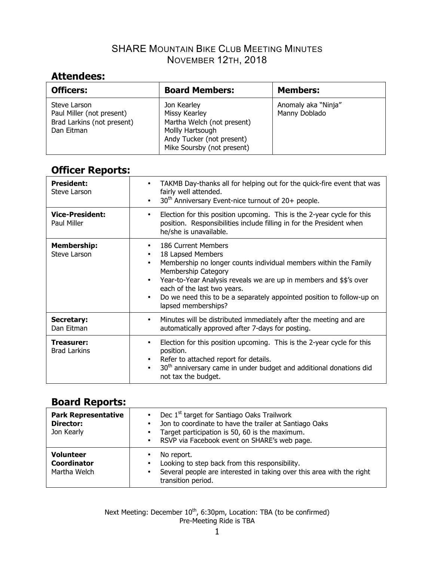## SHARE MOUNTAIN BIKE CLUB MEETING MINUTES NOVEMBER 12TH, 2018

# **Attendees:**

| <b>Officers:</b>                                                                      | <b>Board Members:</b>                                                                                                                     | <b>Members:</b>                      |
|---------------------------------------------------------------------------------------|-------------------------------------------------------------------------------------------------------------------------------------------|--------------------------------------|
| Steve Larson<br>Paul Miller (not present)<br>Brad Larkins (not present)<br>Dan Eitman | Jon Kearley<br>Missy Kearley<br>Martha Welch (not present)<br>Mollly Hartsough<br>Andy Tucker (not present)<br>Mike Soursby (not present) | Anomaly aka "Ninja"<br>Manny Doblado |

# **Officer Reports:**

| <b>President:</b><br>Steve Larson     | TAKMB Day-thanks all for helping out for the quick-fire event that was<br>$\bullet$<br>fairly well attended.<br>30 <sup>th</sup> Anniversary Event-nice turnout of 20+ people.<br>$\bullet$                                                                                                                                                                                                                      |
|---------------------------------------|------------------------------------------------------------------------------------------------------------------------------------------------------------------------------------------------------------------------------------------------------------------------------------------------------------------------------------------------------------------------------------------------------------------|
| <b>Vice-President:</b><br>Paul Miller | Election for this position upcoming. This is the 2-year cycle for this<br>٠<br>position. Responsibilities include filling in for the President when<br>he/she is unavailable.                                                                                                                                                                                                                                    |
| <b>Membership:</b><br>Steve Larson    | 186 Current Members<br>$\bullet$<br>18 Lapsed Members<br>$\bullet$<br>Membership no longer counts individual members within the Family<br>$\bullet$<br><b>Membership Category</b><br>Year-to-Year Analysis reveals we are up in members and \$\$'s over<br>$\bullet$<br>each of the last two years.<br>Do we need this to be a separately appointed position to follow-up on<br>$\bullet$<br>lapsed memberships? |
| Secretary:<br>Dan Eitman              | Minutes will be distributed immediately after the meeting and are<br>٠<br>automatically approved after 7-days for posting.                                                                                                                                                                                                                                                                                       |
| Treasurer:<br><b>Brad Larkins</b>     | Election for this position upcoming. This is the 2-year cycle for this<br>$\bullet$<br>position.<br>Refer to attached report for details.<br>$\bullet$<br>30 <sup>th</sup> anniversary came in under budget and additional donations did<br>$\bullet$<br>not tax the budget.                                                                                                                                     |

| <b>Park Representative</b><br>Director:<br>Jon Kearly  | Dec 1 <sup>st</sup> target for Santiago Oaks Trailwork<br>$\bullet$<br>Jon to coordinate to have the trailer at Santiago Oaks<br>$\bullet$<br>Target participation is 50, 60 is the maximum.<br>$\bullet$<br>RSVP via Facebook event on SHARE's web page.<br>$\bullet$ |
|--------------------------------------------------------|------------------------------------------------------------------------------------------------------------------------------------------------------------------------------------------------------------------------------------------------------------------------|
| <b>Volunteer</b><br><b>Coordinator</b><br>Martha Welch | No report.<br>$\bullet$<br>Looking to step back from this responsibility.<br>$\bullet$<br>Several people are interested in taking over this area with the right<br>$\bullet$<br>transition period.                                                                     |

Next Meeting: December  $10^{th}$ , 6:30pm, Location: TBA (to be confirmed) Pre-Meeting Ride is TBA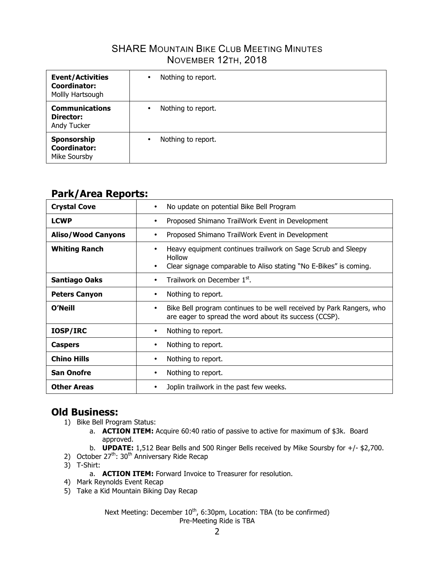### **SHARE MOUNTAIN BIKE CLUB MEETING MINUTES** NOVEMBER 12TH, 2018

| <b>Event/Activities</b><br>Coordinator:<br>Mollly Hartsough | Nothing to report.<br>$\bullet$ |
|-------------------------------------------------------------|---------------------------------|
| <b>Communications</b><br>Director:<br>Andy Tucker           | Nothing to report.<br>$\bullet$ |
| Sponsorship<br><b>Coordinator:</b><br>Mike Soursby          | Nothing to report.<br>$\bullet$ |

# **Park/Area Reports:**

| <b>Crystal Cove</b>       | No update on potential Bike Bell Program<br>$\bullet$                                                                                                                |
|---------------------------|----------------------------------------------------------------------------------------------------------------------------------------------------------------------|
| <b>LCWP</b>               | Proposed Shimano TrailWork Event in Development<br>٠                                                                                                                 |
| <b>Aliso/Wood Canyons</b> | Proposed Shimano TrailWork Event in Development<br>٠                                                                                                                 |
| <b>Whiting Ranch</b>      | Heavy equipment continues trailwork on Sage Scrub and Sleepy<br>٠<br><b>Hollow</b><br>Clear signage comparable to Aliso stating "No E-Bikes" is coming.<br>$\bullet$ |
| <b>Santiago Oaks</b>      | Trailwork on December 1st.<br>$\bullet$                                                                                                                              |
| <b>Peters Canyon</b>      | Nothing to report.<br>٠                                                                                                                                              |
| O'Neill                   | Bike Bell program continues to be well received by Park Rangers, who<br>٠<br>are eager to spread the word about its success (CCSP).                                  |
| <b>IOSP/IRC</b>           | Nothing to report.<br>٠                                                                                                                                              |
| <b>Caspers</b>            | Nothing to report.<br>٠                                                                                                                                              |
| <b>Chino Hills</b>        | Nothing to report.<br>٠                                                                                                                                              |
| <b>San Onofre</b>         | Nothing to report.<br>$\bullet$                                                                                                                                      |
| <b>Other Areas</b>        | Joplin trailwork in the past few weeks.<br>٠                                                                                                                         |

## **Old Business:**

- 1) Bike Bell Program Status:
	- a. **ACTION ITEM:** Acquire 60:40 ratio of passive to active for maximum of \$3k. Board approved.
	- b. **UPDATE:** 1,512 Bear Bells and 500 Ringer Bells received by Mike Soursby for +/- \$2,700.
- 2) October  $27^{\text{th}}$ : 30<sup>th</sup> Anniversary Ride Recap
- 3) T-Shirt:
	- a. **ACTION ITEM:** Forward Invoice to Treasurer for resolution.
- 4) Mark Reynolds Event Recap
- 5) Take a Kid Mountain Biking Day Recap

Next Meeting: December 10<sup>th</sup>, 6:30pm, Location: TBA (to be confirmed) Pre-Meeting Ride is TBA